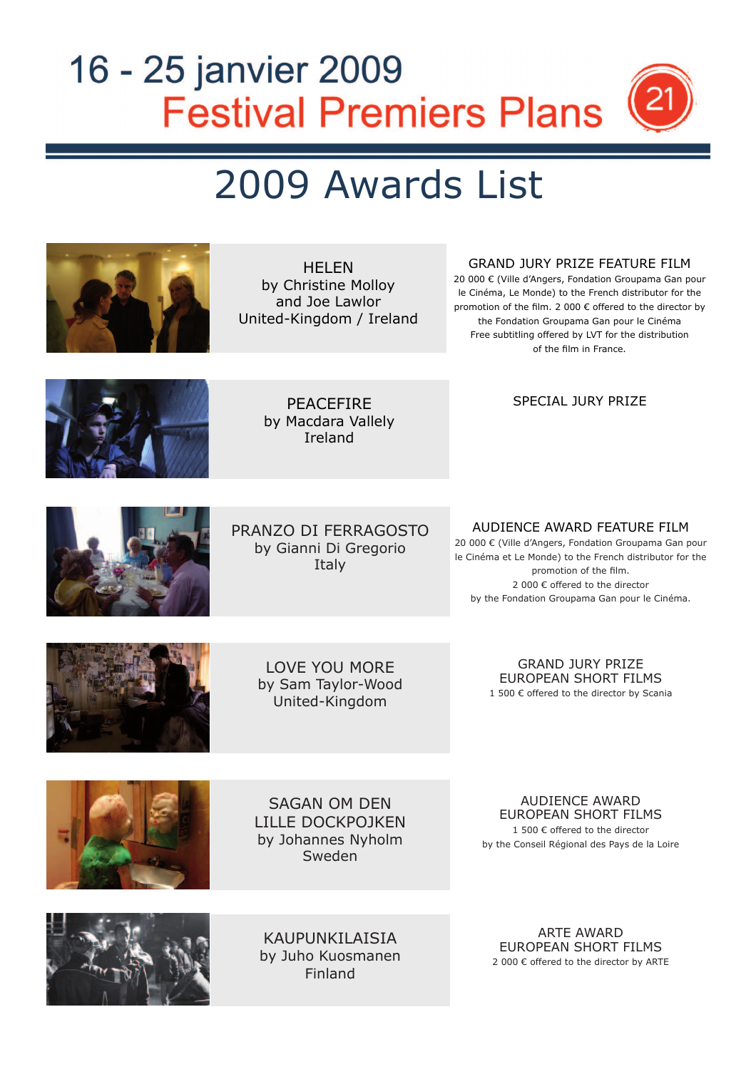# 16 - 25 janvier 2009 **Festival Premiers Plans** 2'

# 2009 Awards List

| <b>HELEN</b><br>by Christine Molloy<br>and Joe Lawlor<br>United-Kingdom / Ireland | <b>GRAND JURY PRIZE FEATURE FILM</b><br>20 000 € (Ville d'Angers, Fondation Groupama Gan pour<br>le Cinéma, Le Monde) to the French distributor for the<br>promotion of the film. 2 000 € offered to the director by<br>the Fondation Groupama Gan pour le Cinéma<br>Free subtitling offered by LVT for the distribution<br>of the film in France. |
|-----------------------------------------------------------------------------------|----------------------------------------------------------------------------------------------------------------------------------------------------------------------------------------------------------------------------------------------------------------------------------------------------------------------------------------------------|
| <b>PEACEFIRE</b><br>by Macdara Vallely<br>Ireland                                 | <b>SPECIAL JURY PRIZE</b>                                                                                                                                                                                                                                                                                                                          |
| PRANZO DI FERRAGOSTO<br>by Gianni Di Gregorio<br>Italy                            | AUDIENCE AWARD FEATURE FILM<br>20 000 € (Ville d'Angers, Fondation Groupama Gan pour<br>le Cinéma et Le Monde) to the French distributor for the<br>promotion of the film.<br>2 000 € offered to the director<br>by the Fondation Groupama Gan pour le Cinéma.                                                                                     |
| <b>LOVE YOU MORE</b><br>by Sam Taylor-Wood<br>United-Kingdom                      | <b>GRAND JURY PRIZE</b><br>EUROPEAN SHORT FILMS<br>1 500 € offered to the director by Scania                                                                                                                                                                                                                                                       |
| <b>SAGAN OM DEN</b><br><b>LILLE DOCKPOJKEN</b><br>by Johannes Nyholm<br>Sweden    | <b>AUDIENCE AWARD</b><br><b>EUROPEAN SHORT FILMS</b><br>1 500 € offered to the director<br>by the Conseil Régional des Pays de la Loire                                                                                                                                                                                                            |
| KAUPUNKILAISIA<br>by Juho Kuosmanen<br>Finland                                    | <b>ARTE AWARD</b><br>EUROPEAN SHORT FILMS<br>2 000 € offered to the director by ARTE                                                                                                                                                                                                                                                               |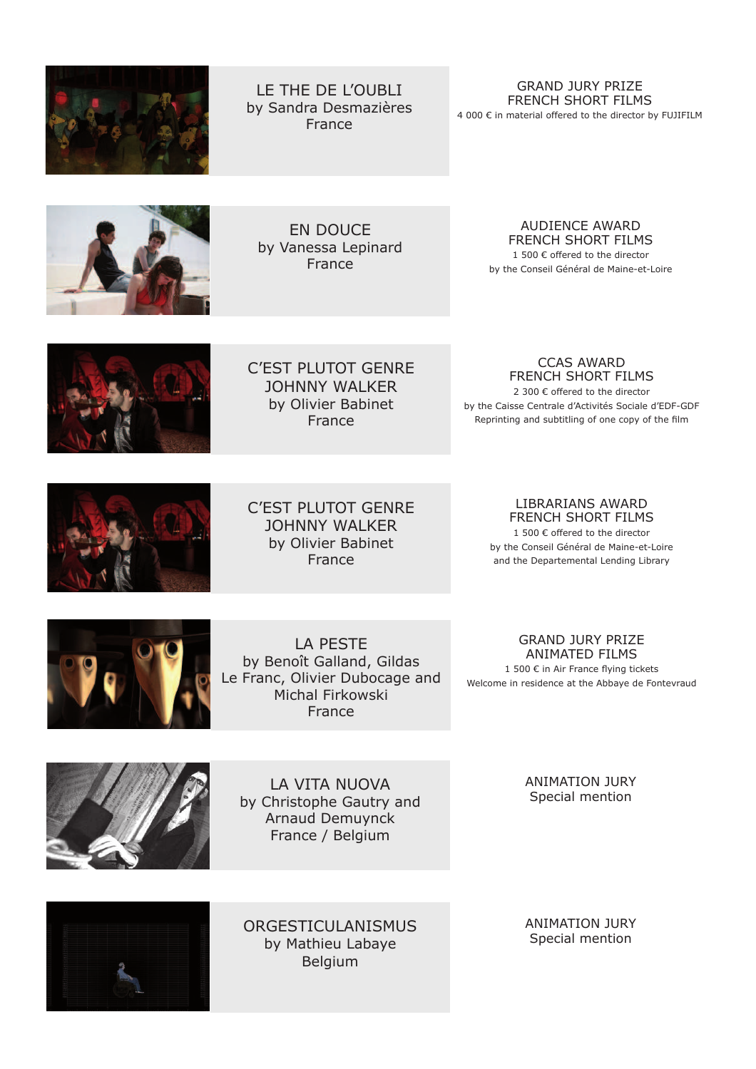

LE THE DE L'OUBLI by Sandra Desmazières France

GRAND JURY PRIZE FRENCH SHORT FILMS

4 000 € in material offered to the director by FUJIFILM



EN DOUCE by Vanessa Lepinard France

### AUDIENCE AWARD FRENCH SHORT FILMS

1 500 € offered to the director by the Conseil Général de Maine-et-Loire



C'EST PLUTOT GENRE JOHNNY WALKER by Olivier Babinet France

#### CCAS AWARD FRENCH SHORT FILMS

2 300 € offered to the director by the Caisse Centrale d'Activités Sociale d'EDF-GDF Reprinting and subtitling of one copy of the film



C'EST PLUTOT GENRE JOHNNY WALKER by Olivier Babinet France

LIBRARIANS AWARD FRENCH SHORT FILMS

1 500 € offered to the director by the Conseil Général de Maine-et-Loire and the Departemental Lending Library



LA PESTE by Benoît Galland, Gildas Le Franc, Olivier Dubocage and Michal Firkowski France

## GRAND JURY PRIZE ANIMATED FILMS

1 500  $\epsilon$  in Air France flying tickets Welcome in residence at the Abbaye de Fontevraud



LA VITA NUOVA by Christophe Gautry and Arnaud Demuynck France / Belgium

ANIMATION JURY Special mention



ORGESTICULANISMUS by Mathieu Labaye Belgium

ANIMATION JURY Special mention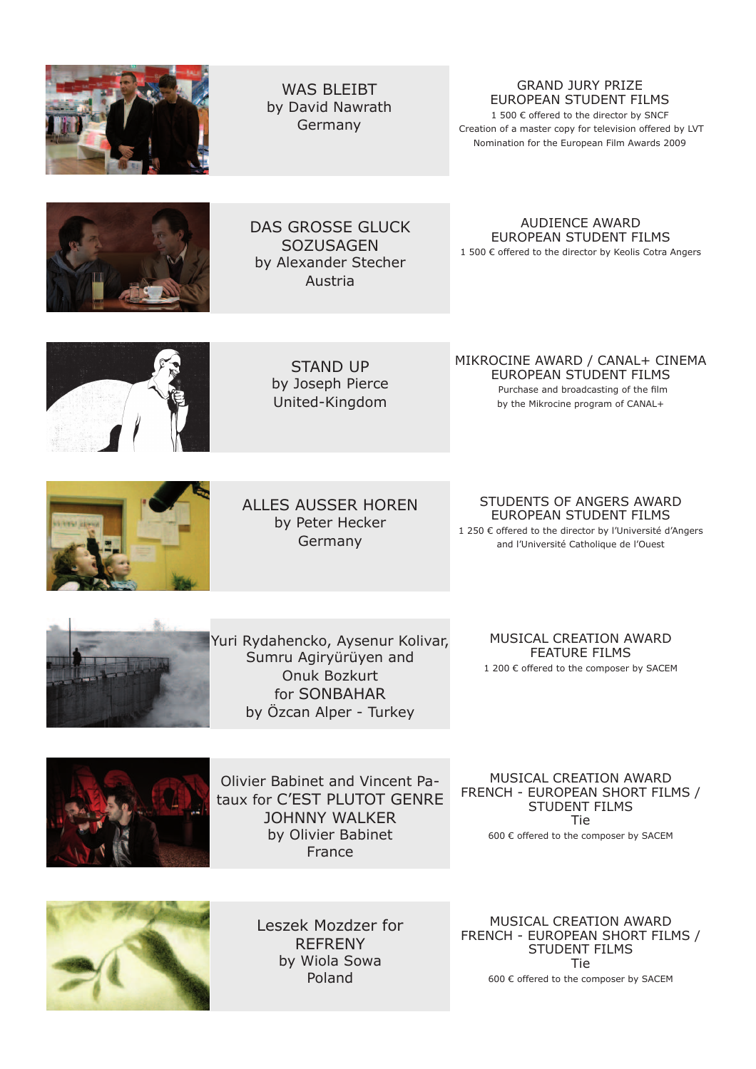

WAS BI FIBT by David Nawrath Germany

# GRAND JURY PRIZE EUROPEAN STUDENT FILMS

1 500 € offered to the director by SNCF Creation of a master copy for television offered by LVT Nomination for the European Film Awards 2009



DAS GROSSE GLUCK **SOZUSAGEN** by Alexander Stecher Austria

AUDIENCE AWARD EUROPEAN STUDENT FILMS 1 500 € offered to the director by Keolis Cotra Angers



STAND UP by Joseph Pierce United-Kingdom

MIKROCINE AWARD / CANAL+ CINEMA EUROPEAN STUDENT FILMS Purchase and broadcasting of the film

by the Mikrocine program of CANAL+

ALLES AUSSER HOREN by Peter Hecker Germany

STUDENTS OF ANGERS AWARD EUROPEAN STUDENT FILMS 1 250 € offered to the director by l'Université d'Angers and l'Université Catholique de l'Ouest



Yuri Rydahencko, Aysenur Kolivar, Sumru Agiryürüyen and Onuk Bozkurt for SONBAHAR by Özcan Alper - Turkey

MUSICAL CREATION AWARD FEATURE FILMS 1 200 € offered to the composer by SACEM



Olivier Babinet and Vincent Pataux for C'EST PLUTOT GENRE JOHNNY WALKER by Olivier Babinet France

MUSICAL CREATION AWARD FRENCH - EUROPEAN SHORT FILMS / STUDENT FILMS Tie 600 € offered to the composer by SACEM



Leszek Mozdzer for REFRENY by Wiola Sowa Poland

MUSICAL CREATION AWARD FRENCH - EUROPEAN SHORT FILMS / STUDENT FILMS Tie 600 € offered to the composer by SACEM